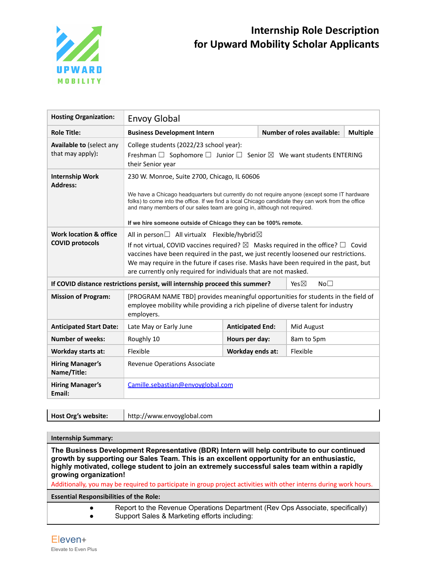

## **Internship Role Description for Upward Mobility Scholar Applicants**

| <b>Hosting Organization:</b>                        | <b>Envoy Global</b>                                                                                                                                                                                                                                                                                                                                                                                                      |                         |  |                                   |                 |
|-----------------------------------------------------|--------------------------------------------------------------------------------------------------------------------------------------------------------------------------------------------------------------------------------------------------------------------------------------------------------------------------------------------------------------------------------------------------------------------------|-------------------------|--|-----------------------------------|-----------------|
| <b>Role Title:</b>                                  | <b>Business Development Intern</b>                                                                                                                                                                                                                                                                                                                                                                                       |                         |  | <b>Number of roles available:</b> | <b>Multiple</b> |
| <b>Available to (select any</b><br>that may apply): | College students (2022/23 school year):<br>Freshman $\Box$ Sophomore $\Box$ Junior $\Box$ Senior $\boxtimes$ We want students ENTERING<br>their Senior year                                                                                                                                                                                                                                                              |                         |  |                                   |                 |
| <b>Internship Work</b><br><b>Address:</b>           | 230 W. Monroe, Suite 2700, Chicago, IL 60606<br>We have a Chicago headquarters but currently do not require anyone (except some IT hardware<br>folks) to come into the office. If we find a local Chicago candidate they can work from the office<br>and many members of our sales team are going in, although not required.<br>If we hire someone outside of Chicago they can be 100% remote.                           |                         |  |                                   |                 |
| Work location & office<br><b>COVID protocols</b>    | All in person $\Box$ All virtualx Flexible/hybrid $\boxtimes$<br>If not virtual, COVID vaccines required? $\boxtimes$ Masks required in the office? $\square$ Covid<br>vaccines have been required in the past, we just recently loosened our restrictions.<br>We may require in the future if cases rise. Masks have been required in the past, but<br>are currently only required for individuals that are not masked. |                         |  |                                   |                 |
|                                                     | If COVID distance restrictions persist, will internship proceed this summer?<br>Yes $\boxtimes$<br>No <sub>1</sub>                                                                                                                                                                                                                                                                                                       |                         |  |                                   |                 |
| <b>Mission of Program:</b>                          | [PROGRAM NAME TBD] provides meaningful opportunities for students in the field of<br>employee mobility while providing a rich pipeline of diverse talent for industry<br>employers.                                                                                                                                                                                                                                      |                         |  |                                   |                 |
| <b>Anticipated Start Date:</b>                      | Late May or Early June                                                                                                                                                                                                                                                                                                                                                                                                   | <b>Anticipated End:</b> |  | Mid August                        |                 |
| <b>Number of weeks:</b>                             | Roughly 10                                                                                                                                                                                                                                                                                                                                                                                                               | Hours per day:          |  | 8am to 5pm                        |                 |
| <b>Workday starts at:</b>                           | Flexible                                                                                                                                                                                                                                                                                                                                                                                                                 | Workday ends at:        |  | Flexible                          |                 |
| <b>Hiring Manager's</b><br>Name/Title:              | <b>Revenue Operations Associate</b>                                                                                                                                                                                                                                                                                                                                                                                      |                         |  |                                   |                 |
| <b>Hiring Manager's</b><br>Email:                   | Camille.sebastian@envoyglobal.com                                                                                                                                                                                                                                                                                                                                                                                        |                         |  |                                   |                 |

| Host Org's website: | http://www.envoyglobal.com |
|---------------------|----------------------------|
|---------------------|----------------------------|

## **Internship Summary:**

**The Business Development Representative (BDR) Intern will help contribute to our continued growth by supporting our Sales Team. This is an excellent opportunity for an enthusiastic, highly motivated, college student to join an extremely successful sales team within a rapidly growing organization!**

Additionally, you may be required to participate in group project activities with other interns during work hours.

**Essential Responsibilities of the Role:**

● Report to the Revenue Operations Department (Rev Ops Associate, specifically) ● Support Sales & Marketing efforts including: